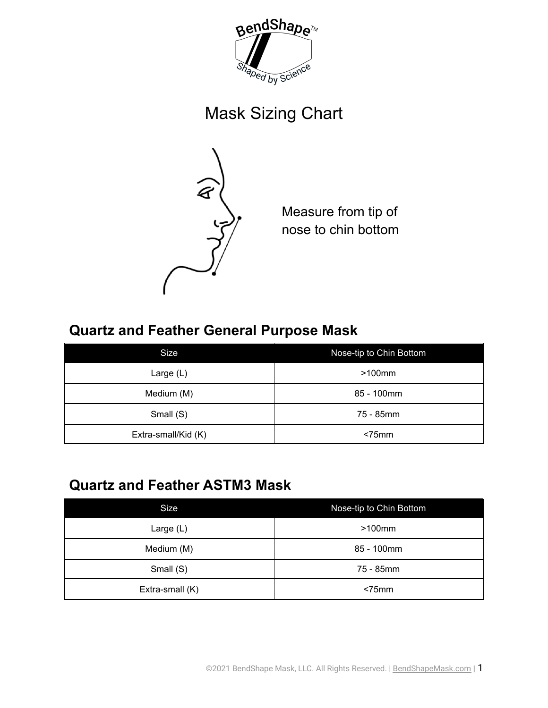

## Mask Sizing Chart



Measure from tip of nose to chin bottom

## **Quartz and Feather General Purpose Mask**

| Size                | Nose-tip to Chin Bottom |  |  |
|---------------------|-------------------------|--|--|
| Large $(L)$         | $>100$ mm               |  |  |
| Medium (M)          | 85 - 100mm              |  |  |
| Small (S)           | 75 - 85mm               |  |  |
| Extra-small/Kid (K) | $< 75$ mm               |  |  |

## **Quartz and Feather ASTM3 Mask**

| Size            | Nose-tip to Chin Bottom |  |  |
|-----------------|-------------------------|--|--|
| Large $(L)$     | $>100$ mm               |  |  |
| Medium (M)      | 85 - 100mm              |  |  |
| Small (S)       | 75 - 85mm               |  |  |
| Extra-small (K) | $<$ 75 $mm$             |  |  |